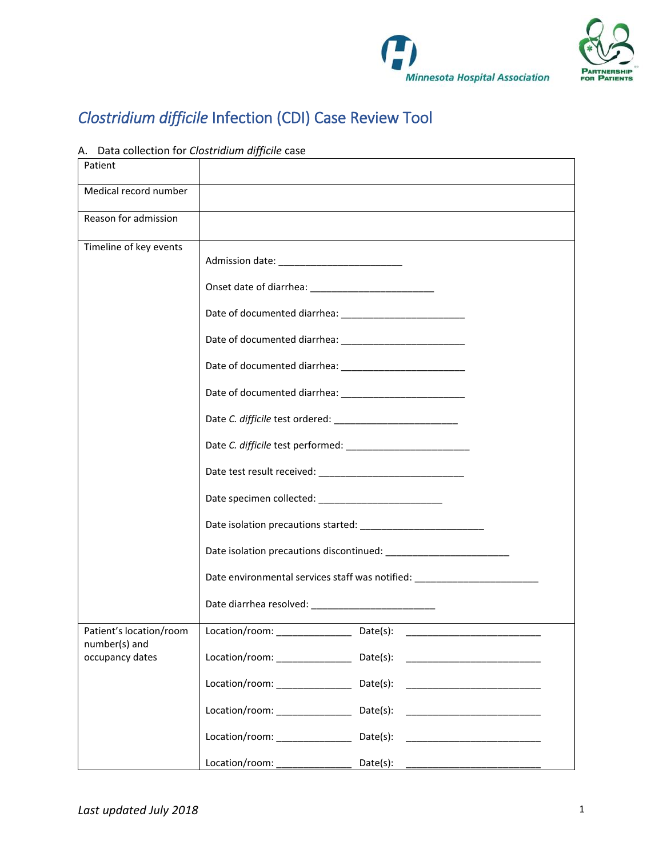



## *Clostridium difficile* Infection (CDI) Case Review Tool

## A. Data collection for *Clostridium difficile* case

| Patient                                  |                                                   |                                                                                  |  |  |  |
|------------------------------------------|---------------------------------------------------|----------------------------------------------------------------------------------|--|--|--|
| Medical record number                    |                                                   |                                                                                  |  |  |  |
| Reason for admission                     |                                                   |                                                                                  |  |  |  |
| Timeline of key events                   |                                                   |                                                                                  |  |  |  |
|                                          |                                                   |                                                                                  |  |  |  |
|                                          |                                                   |                                                                                  |  |  |  |
|                                          |                                                   |                                                                                  |  |  |  |
|                                          |                                                   |                                                                                  |  |  |  |
|                                          |                                                   |                                                                                  |  |  |  |
|                                          |                                                   |                                                                                  |  |  |  |
|                                          |                                                   |                                                                                  |  |  |  |
|                                          |                                                   |                                                                                  |  |  |  |
|                                          |                                                   |                                                                                  |  |  |  |
|                                          |                                                   |                                                                                  |  |  |  |
|                                          |                                                   |                                                                                  |  |  |  |
|                                          |                                                   | Date environmental services staff was notified: ________________________________ |  |  |  |
|                                          | Date diarrhea resolved: _________________________ |                                                                                  |  |  |  |
| Patient's location/room<br>number(s) and |                                                   |                                                                                  |  |  |  |
| occupancy dates                          | Location/room: Date(s):                           |                                                                                  |  |  |  |
|                                          |                                                   | Location/room: ____________________________Date(s): ____________________________ |  |  |  |
|                                          |                                                   | Location/room: _____________________________Date(s): ___________________________ |  |  |  |
|                                          |                                                   | Location/room: __________________________Date(s): ______________________________ |  |  |  |
|                                          |                                                   |                                                                                  |  |  |  |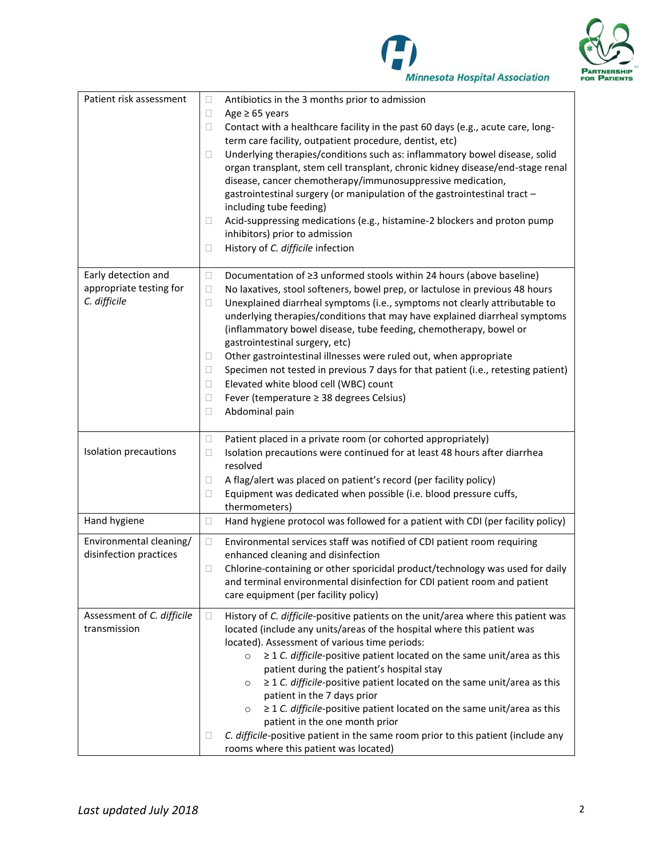



| Patient risk assessment                                        | Antibiotics in the 3 months prior to admission<br>$\Box$<br>Age $\geq$ 65 years<br>Ц<br>Contact with a healthcare facility in the past 60 days (e.g., acute care, long-<br>$\Box$<br>term care facility, outpatient procedure, dentist, etc)<br>Underlying therapies/conditions such as: inflammatory bowel disease, solid<br>□<br>organ transplant, stem cell transplant, chronic kidney disease/end-stage renal<br>disease, cancer chemotherapy/immunosuppressive medication,<br>gastrointestinal surgery (or manipulation of the gastrointestinal tract -<br>including tube feeding)<br>Acid-suppressing medications (e.g., histamine-2 blockers and proton pump<br>Ш<br>inhibitors) prior to admission<br>History of C. difficile infection<br>□ |
|----------------------------------------------------------------|------------------------------------------------------------------------------------------------------------------------------------------------------------------------------------------------------------------------------------------------------------------------------------------------------------------------------------------------------------------------------------------------------------------------------------------------------------------------------------------------------------------------------------------------------------------------------------------------------------------------------------------------------------------------------------------------------------------------------------------------------|
| Early detection and<br>appropriate testing for<br>C. difficile | Documentation of ≥3 unformed stools within 24 hours (above baseline)<br>$\Box$<br>No laxatives, stool softeners, bowel prep, or lactulose in previous 48 hours<br>Ц<br>Unexplained diarrheal symptoms (i.e., symptoms not clearly attributable to<br>$\Box$<br>underlying therapies/conditions that may have explained diarrheal symptoms<br>(inflammatory bowel disease, tube feeding, chemotherapy, bowel or<br>gastrointestinal surgery, etc)<br>Other gastrointestinal illnesses were ruled out, when appropriate<br>Ш<br>Specimen not tested in previous 7 days for that patient (i.e., retesting patient)<br>Ц<br>Elevated white blood cell (WBC) count<br>$\Box$<br>Fever (temperature ≥ 38 degrees Celsius)<br>$\Box$<br>Abdominal pain<br>□ |
| Isolation precautions                                          | Patient placed in a private room (or cohorted appropriately)<br>$\Box$<br>Isolation precautions were continued for at least 48 hours after diarrhea<br>$\Box$<br>resolved<br>A flag/alert was placed on patient's record (per facility policy)<br>□<br>Equipment was dedicated when possible (i.e. blood pressure cuffs,<br>□<br>thermometers)                                                                                                                                                                                                                                                                                                                                                                                                       |
| Hand hygiene                                                   | Hand hygiene protocol was followed for a patient with CDI (per facility policy)<br>$\Box$                                                                                                                                                                                                                                                                                                                                                                                                                                                                                                                                                                                                                                                            |
| Environmental cleaning/<br>disinfection practices              | Environmental services staff was notified of CDI patient room requiring<br>$\Box$<br>enhanced cleaning and disinfection<br>Chlorine-containing or other sporicidal product/technology was used for daily<br>П<br>and terminal environmental disinfection for CDI patient room and patient<br>care equipment (per facility policy)                                                                                                                                                                                                                                                                                                                                                                                                                    |
| Assessment of C. difficile<br>transmission                     | History of C. difficile-positive patients on the unit/area where this patient was<br>$\Box$<br>located (include any units/areas of the hospital where this patient was<br>located). Assessment of various time periods:<br>≥ 1 C. difficile-positive patient located on the same unit/area as this<br>$\circ$<br>patient during the patient's hospital stay<br>$\geq$ 1 C. difficile-positive patient located on the same unit/area as this<br>O<br>patient in the 7 days prior<br>$\geq$ 1 C. difficile-positive patient located on the same unit/area as this<br>O<br>patient in the one month prior<br>C. difficile-positive patient in the same room prior to this patient (include any<br>Ц<br>rooms where this patient was located)            |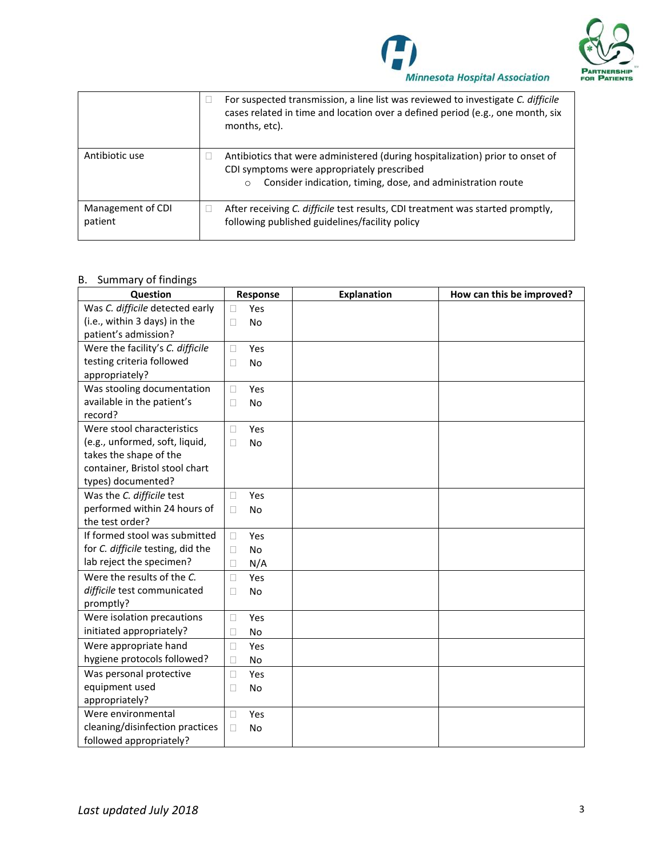



|                              | For suspected transmission, a line list was reviewed to investigate C. difficile<br>cases related in time and location over a defined period (e.g., one month, six<br>months, etc).                   |
|------------------------------|-------------------------------------------------------------------------------------------------------------------------------------------------------------------------------------------------------|
| Antibiotic use               | Antibiotics that were administered (during hospitalization) prior to onset of<br>CDI symptoms were appropriately prescribed<br>Consider indication, timing, dose, and administration route<br>$\circ$ |
| Management of CDI<br>patient | After receiving C. difficile test results, CDI treatment was started promptly,<br>following published guidelines/facility policy                                                                      |

## B. Summary of findings

| Question                          | Response            | Explanation | How can this be improved? |
|-----------------------------------|---------------------|-------------|---------------------------|
| Was C. difficile detected early   | Yes<br>$\Box$       |             |                           |
| (i.e., within 3 days) in the      | <b>No</b><br>П      |             |                           |
| patient's admission?              |                     |             |                           |
| Were the facility's C. difficile  | Yes<br>$\Box$       |             |                           |
| testing criteria followed         | <b>No</b><br>П      |             |                           |
| appropriately?                    |                     |             |                           |
| Was stooling documentation        | Yes<br>$\Box$       |             |                           |
| available in the patient's        | No<br>□             |             |                           |
| record?                           |                     |             |                           |
| Were stool characteristics        | Yes<br>П            |             |                           |
| (e.g., unformed, soft, liquid,    | No<br>П             |             |                           |
| takes the shape of the            |                     |             |                           |
| container, Bristol stool chart    |                     |             |                           |
| types) documented?                |                     |             |                           |
| Was the C. difficile test         | Yes<br>$\Box$       |             |                           |
| performed within 24 hours of      | <b>No</b><br>П      |             |                           |
| the test order?                   |                     |             |                           |
| If formed stool was submitted     | Yes<br>$\Box$       |             |                           |
| for C. difficile testing, did the | <b>No</b><br>П      |             |                           |
| lab reject the specimen?          | N/A<br>□            |             |                           |
| Were the results of the C.        | $\Box$<br>Yes       |             |                           |
| difficile test communicated       | $\Box$<br><b>No</b> |             |                           |
| promptly?                         |                     |             |                           |
| Were isolation precautions        | Yes<br>Ш            |             |                           |
| initiated appropriately?          | <b>No</b><br>$\Box$ |             |                           |
| Were appropriate hand             | Yes<br>□            |             |                           |
| hygiene protocols followed?       | П<br><b>No</b>      |             |                           |
| Was personal protective           | Yes<br>$\Box$       |             |                           |
| equipment used                    | <b>No</b><br>П      |             |                           |
| appropriately?                    |                     |             |                           |
| Were environmental                | Yes<br>П            |             |                           |
| cleaning/disinfection practices   | $\Box$<br><b>No</b> |             |                           |
| followed appropriately?           |                     |             |                           |